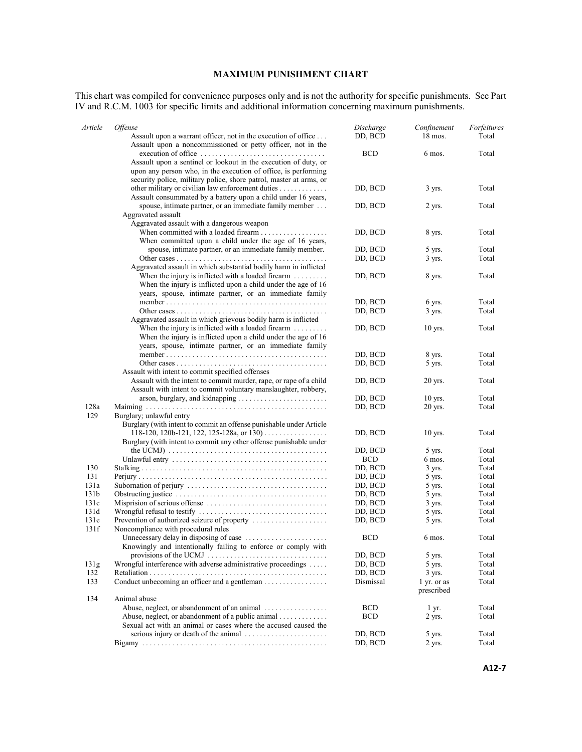## **MAXIMUM PUNISHMENT CHART**

This chart was compiled for convenience purposes only and is not the authority for specific punishments. See Part IV and R.C.M. 1003 for specific limits and additional information concerning maximum punishments.

| Article          | <i><b>Offense</b></i>                                                                                                                                                                                                                                                                                 | Discharge          | Confinement               | Forfeitures    |
|------------------|-------------------------------------------------------------------------------------------------------------------------------------------------------------------------------------------------------------------------------------------------------------------------------------------------------|--------------------|---------------------------|----------------|
|                  | Assault upon a warrant officer, not in the execution of office<br>Assault upon a noncommissioned or petty officer, not in the                                                                                                                                                                         | DD, BCD            | $18$ mos.                 | Total          |
|                  | $\alpha$ execution of office $\dots \dots \dots \dots \dots \dots \dots \dots \dots \dots$<br>Assault upon a sentinel or lookout in the execution of duty, or<br>upon any person who, in the execution of office, is performing<br>security police, military police, shore patrol, master at arms, or | <b>BCD</b>         | 6 mos.                    | Total          |
|                  | other military or civilian law enforcement duties<br>Assault consummated by a battery upon a child under 16 years,                                                                                                                                                                                    | DD, BCD            | 3 yrs.                    | Total          |
|                  | spouse, intimate partner, or an immediate family member<br>Aggravated assault                                                                                                                                                                                                                         | DD, BCD            | 2 yrs.                    | Total          |
|                  | Aggravated assault with a dangerous weapon<br>When committed with a loaded firearm $\ldots$<br>When committed upon a child under the age of 16 years,                                                                                                                                                 | DD, BCD            | 8 yrs.                    | Total          |
|                  | spouse, intimate partner, or an immediate family member.                                                                                                                                                                                                                                              | DD, BCD            | 5 yrs.                    | Total          |
|                  |                                                                                                                                                                                                                                                                                                       | DD, BCD            | 3 yrs.                    | Total          |
|                  | Aggravated assault in which substantial bodily harm in inflicted                                                                                                                                                                                                                                      |                    |                           |                |
|                  | When the injury is inflicted with a loaded firearm $\dots \dots$<br>When the injury is inflicted upon a child under the age of 16                                                                                                                                                                     | DD, BCD            | 8 yrs.                    | Total          |
|                  | years, spouse, intimate partner, or an immediate family                                                                                                                                                                                                                                               |                    |                           |                |
|                  |                                                                                                                                                                                                                                                                                                       | DD, BCD            | 6 yrs.                    | Total          |
|                  | Aggravated assault in which grievous bodily harm is inflicted                                                                                                                                                                                                                                         | DD, BCD            | 3 yrs.                    | Total          |
|                  | When the injury is inflicted with a loaded firearm $\dots \dots$                                                                                                                                                                                                                                      | DD, BCD            | 10 yrs.                   | Total          |
|                  | When the injury is inflicted upon a child under the age of 16<br>years, spouse, intimate partner, or an immediate family                                                                                                                                                                              |                    |                           |                |
|                  |                                                                                                                                                                                                                                                                                                       | DD, BCD            | 8 yrs.                    | Total          |
|                  | Assault with intent to commit specified offenses                                                                                                                                                                                                                                                      | DD, BCD            | 5 yrs.                    | Total          |
|                  | Assault with the intent to commit murder, rape, or rape of a child<br>Assault with intent to commit voluntary manslaughter, robbery,                                                                                                                                                                  | DD, BCD            | 20 yrs.                   | Total          |
|                  |                                                                                                                                                                                                                                                                                                       | DD, BCD            | 10 yrs.                   | Total          |
| 128a<br>129      | Burglary; unlawful entry                                                                                                                                                                                                                                                                              | DD, BCD            | 20 yrs.                   | Total          |
|                  | Burglary (with intent to commit an offense punishable under Article                                                                                                                                                                                                                                   |                    |                           |                |
|                  | 118-120, 120b-121, 122, 125-128a, or 130)<br>Burglary (with intent to commit any other offense punishable under                                                                                                                                                                                       | DD, BCD            | 10 yrs.                   | Total          |
|                  |                                                                                                                                                                                                                                                                                                       | DD, BCD            | 5 yrs.                    | Total          |
|                  |                                                                                                                                                                                                                                                                                                       | <b>BCD</b>         | 6 mos.                    | Total          |
| 130              |                                                                                                                                                                                                                                                                                                       | DD, BCD            | 3 yrs.                    | Total          |
| 131<br>131a      |                                                                                                                                                                                                                                                                                                       | DD, BCD            | 5 yrs.<br>5 yrs.          | Total<br>Total |
| 131 <sub>b</sub> |                                                                                                                                                                                                                                                                                                       | DD, BCD<br>DD, BCD | 5 yrs.                    | Total          |
| 131c             |                                                                                                                                                                                                                                                                                                       | DD, BCD            | 3 yrs.                    | Total          |
| 131d             |                                                                                                                                                                                                                                                                                                       | DD, BCD            | 5 yrs.                    | Total          |
| 131e             |                                                                                                                                                                                                                                                                                                       | DD, BCD            | 5 yrs.                    | Total          |
| 131f             | Noncompliance with procedural rules                                                                                                                                                                                                                                                                   |                    |                           |                |
|                  | Knowingly and intentionally failing to enforce or comply with                                                                                                                                                                                                                                         | <b>BCD</b>         | 6 mos.                    | Total          |
|                  |                                                                                                                                                                                                                                                                                                       | DD, BCD            | 5 yrs.                    | Total          |
| 131g             | Wrongful interference with adverse administrative proceedings                                                                                                                                                                                                                                         | DD, BCD            | 5 yrs.                    | Total          |
| 132              |                                                                                                                                                                                                                                                                                                       | DD, BCD            | 3 yrs.                    | Total          |
| 133              | Conduct unbecoming an officer and a gentleman                                                                                                                                                                                                                                                         | Dismissal          | 1 yr. or as<br>prescribed | Total          |
| 134              | Animal abuse                                                                                                                                                                                                                                                                                          |                    |                           |                |
|                  | Abuse, neglect, or abandonment of an animal                                                                                                                                                                                                                                                           | <b>BCD</b>         | 1 yr.                     | Total          |
|                  | Abuse, neglect, or abandonment of a public animal<br>Sexual act with an animal or cases where the accused caused the                                                                                                                                                                                  | <b>BCD</b>         | 2 yrs.                    | Total          |
|                  |                                                                                                                                                                                                                                                                                                       | DD, BCD            | 5 yrs.                    | Total          |
|                  |                                                                                                                                                                                                                                                                                                       | DD, BCD            | 2 yrs.                    | Total          |